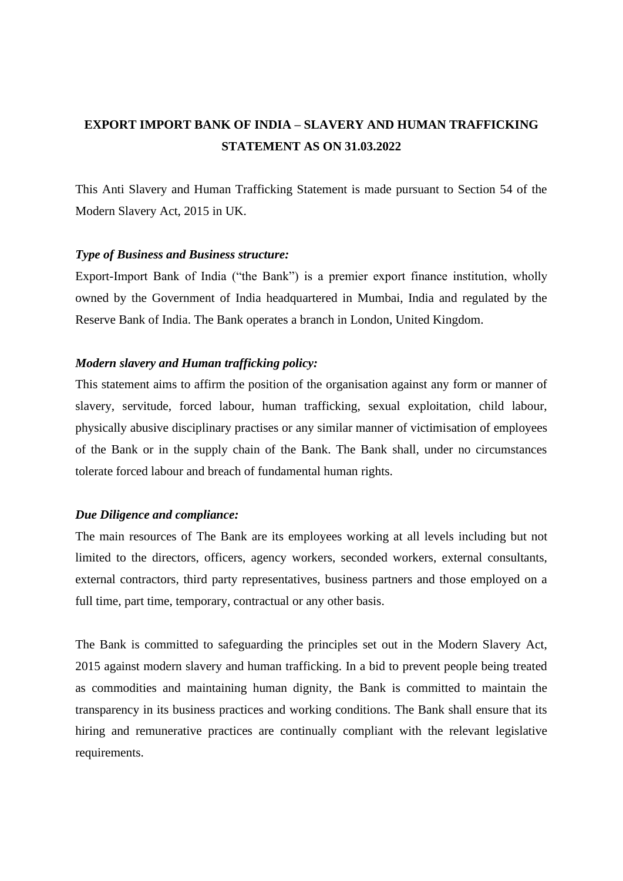## **EXPORT IMPORT BANK OF INDIA – SLAVERY AND HUMAN TRAFFICKING STATEMENT AS ON 31.03.2022**

This Anti Slavery and Human Trafficking Statement is made pursuant to Section 54 of the Modern Slavery Act, 2015 in UK.

## *Type of Business and Business structure:*

Export-Import Bank of India ("the Bank") is a premier export finance institution, wholly owned by the Government of India headquartered in Mumbai, India and regulated by the Reserve Bank of India. The Bank operates a branch in London, United Kingdom.

## *Modern slavery and Human trafficking policy:*

This statement aims to affirm the position of the organisation against any form or manner of slavery, servitude, forced labour, human trafficking, sexual exploitation, child labour, physically abusive disciplinary practises or any similar manner of victimisation of employees of the Bank or in the supply chain of the Bank. The Bank shall, under no circumstances tolerate forced labour and breach of fundamental human rights.

## *Due Diligence and compliance:*

The main resources of The Bank are its employees working at all levels including but not limited to the directors, officers, agency workers, seconded workers, external consultants, external contractors, third party representatives, business partners and those employed on a full time, part time, temporary, contractual or any other basis.

The Bank is committed to safeguarding the principles set out in the Modern Slavery Act, 2015 against modern slavery and human trafficking. In a bid to prevent people being treated as commodities and maintaining human dignity, the Bank is committed to maintain the transparency in its business practices and working conditions. The Bank shall ensure that its hiring and remunerative practices are continually compliant with the relevant legislative requirements.